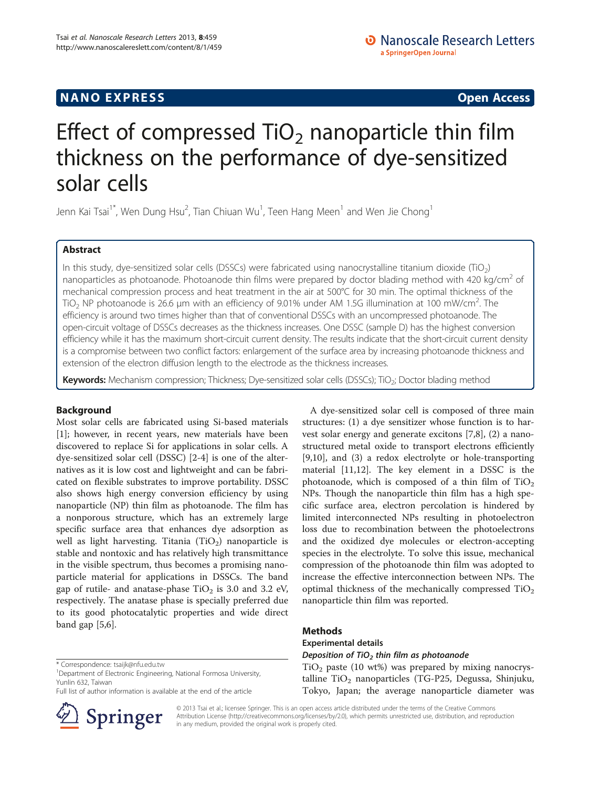## **NANO EXPRESS** Open Access **CONTROL**

# Effect of compressed  $TiO<sub>2</sub>$  nanoparticle thin film thickness on the performance of dye-sensitized solar cells

Jenn Kai Tsai<sup>1\*</sup>, Wen Dung Hsu<sup>2</sup>, Tian Chiuan Wu<sup>1</sup>, Teen Hang Meen<sup>1</sup> and Wen Jie Chong<sup>1</sup>

## Abstract

In this study, dye-sensitized solar cells (DSSCs) were fabricated using nanocrystalline titanium dioxide (TiO<sub>2</sub>) nanoparticles as photoanode. Photoanode thin films were prepared by doctor blading method with 420 kg/cm<sup>2</sup> of mechanical compression process and heat treatment in the air at 500°C for 30 min. The optimal thickness of the TiO<sub>2</sub> NP photoanode is 26.6 µm with an efficiency of 9.01% under AM 1.5G illumination at 100 mW/cm<sup>2</sup>. The efficiency is around two times higher than that of conventional DSSCs with an uncompressed photoanode. The open-circuit voltage of DSSCs decreases as the thickness increases. One DSSC (sample D) has the highest conversion efficiency while it has the maximum short-circuit current density. The results indicate that the short-circuit current density is a compromise between two conflict factors: enlargement of the surface area by increasing photoanode thickness and extension of the electron diffusion length to the electrode as the thickness increases.

Keywords: Mechanism compression; Thickness; Dye-sensitized solar cells (DSSCs); TiO<sub>2</sub>; Doctor blading method

## Background

Most solar cells are fabricated using Si-based materials [[1\]](#page-4-0); however, in recent years, new materials have been discovered to replace Si for applications in solar cells. A dye-sensitized solar cell (DSSC) [[2-4](#page-4-0)] is one of the alternatives as it is low cost and lightweight and can be fabricated on flexible substrates to improve portability. DSSC also shows high energy conversion efficiency by using nanoparticle (NP) thin film as photoanode. The film has a nonporous structure, which has an extremely large specific surface area that enhances dye adsorption as well as light harvesting. Titania  $(TiO<sub>2</sub>)$  nanoparticle is stable and nontoxic and has relatively high transmittance in the visible spectrum, thus becomes a promising nanoparticle material for applications in DSSCs. The band gap of rutile- and anatase-phase  $TiO<sub>2</sub>$  is 3.0 and 3.2 eV, respectively. The anatase phase is specially preferred due to its good photocatalytic properties and wide direct band gap [\[5,6](#page-4-0)].

<sup>1</sup>Department of Electronic Engineering, National Formosa University, Yunlin 632, Taiwan

Full list of author information is available at the end of the article



A dye-sensitized solar cell is composed of three main structures: (1) a dye sensitizer whose function is to harvest solar energy and generate excitons [\[7,8](#page-4-0)], (2) a nanostructured metal oxide to transport electrons efficiently [[9,10\]](#page-4-0), and (3) a redox electrolyte or hole-transporting material [\[11,12\]](#page-4-0). The key element in a DSSC is the photoanode, which is composed of a thin film of  $TiO<sub>2</sub>$ NPs. Though the nanoparticle thin film has a high specific surface area, electron percolation is hindered by limited interconnected NPs resulting in photoelectron loss due to recombination between the photoelectrons and the oxidized dye molecules or electron-accepting species in the electrolyte. To solve this issue, mechanical compression of the photoanode thin film was adopted to increase the effective interconnection between NPs. The optimal thickness of the mechanically compressed  $TiO<sub>2</sub>$ nanoparticle thin film was reported.

## Methods

## Experimental details

Deposition of TiO<sub>2</sub> thin film as photoanode

 $TiO<sub>2</sub>$  paste (10 wt%) was prepared by mixing nanocrystalline  $TiO<sub>2</sub>$  nanoparticles (TG-P25, Degussa, Shinjuku, Tokyo, Japan; the average nanoparticle diameter was

© 2013 Tsai et al.; licensee Springer. This is an open access article distributed under the terms of the Creative Commons Attribution License [\(http://creativecommons.org/licenses/by/2.0\)](http://creativecommons.org/licenses/by/2.0), which permits unrestricted use, distribution, and reproduction in any medium, provided the original work is properly cited.

<sup>\*</sup> Correspondence: [tsaijk@nfu.edu.tw](mailto:tsaijk@nfu.edu.tw) <sup>1</sup>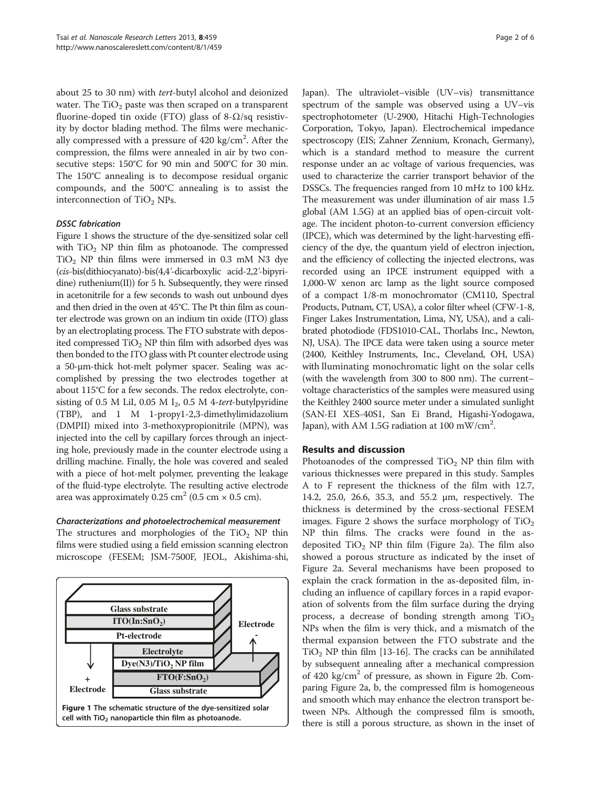about 25 to 30 nm) with tert-butyl alcohol and deionized water. The  $TiO<sub>2</sub>$  paste was then scraped on a transparent fluorine-doped tin oxide (FTO) glass of 8- $\Omega$ /sq resistivity by doctor blading method. The films were mechanically compressed with a pressure of 420 kg/cm<sup>2</sup>. After the compression, the films were annealed in air by two consecutive steps: 150°C for 90 min and 500°C for 30 min. The 150°C annealing is to decompose residual organic compounds, and the 500°C annealing is to assist the interconnection of  $TiO<sub>2</sub>$  NPs.

### DSSC fabrication

Figure 1 shows the structure of the dye-sensitized solar cell with  $TiO<sub>2</sub>$  NP thin film as photoanode. The compressed  $TiO<sub>2</sub>$  NP thin films were immersed in 0.3 mM N3 dye (cis-bis(dithiocyanato)-bis(4,4'-dicarboxylic acid-2,2'-bipyridine) ruthenium(II)) for 5 h. Subsequently, they were rinsed in acetonitrile for a few seconds to wash out unbound dyes and then dried in the oven at 45°C. The Pt thin film as counter electrode was grown on an indium tin oxide (ITO) glass by an electroplating process. The FTO substrate with deposited compressed  $TiO<sub>2</sub>$  NP thin film with adsorbed dyes was then bonded to the ITO glass with Pt counter electrode using a 50-μm-thick hot-melt polymer spacer. Sealing was accomplished by pressing the two electrodes together at about 115°C for a few seconds. The redox electrolyte, consisting of 0.5 M LiI, 0.05 M I<sub>2</sub>, 0.5 M 4-tert-butylpyridine (TBP), and 1 M 1-propy1-2,3-dimethylimidazolium (DMPII) mixed into 3-methoxypropionitrile (MPN), was injected into the cell by capillary forces through an injecting hole, previously made in the counter electrode using a drilling machine. Finally, the hole was covered and sealed with a piece of hot-melt polymer, preventing the leakage of the fluid-type electrolyte. The resulting active electrode area was approximately  $0.25 \text{ cm}^2$  (0.5 cm  $\times$  0.5 cm).

#### Characterizations and photoelectrochemical measurement

The structures and morphologies of the  $TiO<sub>2</sub>$  NP thin films were studied using a field emission scanning electron microscope (FESEM; JSM-7500F, JEOL, Akishima-shi,



Japan). The ultraviolet–visible (UV–vis) transmittance spectrum of the sample was observed using a UV–vis spectrophotometer (U-2900, Hitachi High-Technologies Corporation, Tokyo, Japan). Electrochemical impedance spectroscopy (EIS; Zahner Zennium, Kronach, Germany), which is a standard method to measure the current response under an ac voltage of various frequencies, was used to characterize the carrier transport behavior of the DSSCs. The frequencies ranged from 10 mHz to 100 kHz. The measurement was under illumination of air mass 1.5 global (AM 1.5G) at an applied bias of open-circuit voltage. The incident photon-to-current conversion efficiency (IPCE), which was determined by the light-harvesting efficiency of the dye, the quantum yield of electron injection, and the efficiency of collecting the injected electrons, was recorded using an IPCE instrument equipped with a 1,000-W xenon arc lamp as the light source composed of a compact 1/8-m monochromator (CM110, Spectral Products, Putnam, CT, USA), a color filter wheel (CFW-1-8, Finger Lakes Instrumentation, Lima, NY, USA), and a calibrated photodiode (FDS1010-CAL, Thorlabs Inc., Newton, NJ, USA). The IPCE data were taken using a source meter (2400, Keithley Instruments, Inc., Cleveland, OH, USA) with lluminating monochromatic light on the solar cells (with the wavelength from 300 to 800 nm). The current– voltage characteristics of the samples were measured using the Keithley 2400 source meter under a simulated sunlight (SAN-EI XES-40S1, San Ei Brand, Higashi-Yodogawa, Japan), with AM 1.5G radiation at 100 mW/cm<sup>2</sup>.

## Results and discussion

Photoanodes of the compressed  $TiO<sub>2</sub>$  NP thin film with various thicknesses were prepared in this study. Samples A to F represent the thickness of the film with 12.7, 14.2, 25.0, 26.6, 35.3, and 55.2 μm, respectively. The thickness is determined by the cross-sectional FESEM images. Figure [2](#page-2-0) shows the surface morphology of  $TiO<sub>2</sub>$ NP thin films. The cracks were found in the asdeposited  $TiO<sub>2</sub>$  NP thin film (Figure [2](#page-2-0)a). The film also showed a porous structure as indicated by the inset of Figure [2](#page-2-0)a. Several mechanisms have been proposed to explain the crack formation in the as-deposited film, including an influence of capillary forces in a rapid evaporation of solvents from the film surface during the drying process, a decrease of bonding strength among  $TiO<sub>2</sub>$ NPs when the film is very thick, and a mismatch of the thermal expansion between the FTO substrate and the  $TiO<sub>2</sub>$  NP thin film [[13](#page-5-0)-[16](#page-5-0)]. The cracks can be annihilated by subsequent annealing after a mechanical compression of 420 kg/cm<sup>2</sup> of pressure, as shown in Figure [2b](#page-2-0). Comparing Figure [2a](#page-2-0), b, the compressed film is homogeneous and smooth which may enhance the electron transport between NPs. Although the compressed film is smooth, there is still a porous structure, as shown in the inset of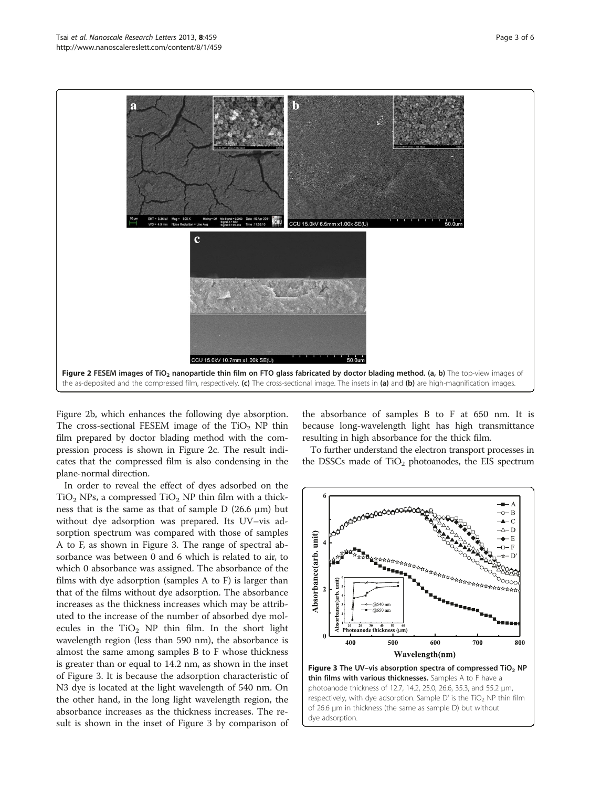<span id="page-2-0"></span>

Figure 2b, which enhances the following dye absorption. The cross-sectional FESEM image of the  $TiO<sub>2</sub>$  NP thin film prepared by doctor blading method with the compression process is shown in Figure 2c. The result indicates that the compressed film is also condensing in the plane-normal direction.

In order to reveal the effect of dyes adsorbed on the  $TiO<sub>2</sub>$  NPs, a compressed  $TiO<sub>2</sub>$  NP thin film with a thickness that is the same as that of sample  $D$  (26.6  $\mu$ m) but without dye adsorption was prepared. Its UV–vis adsorption spectrum was compared with those of samples A to F, as shown in Figure 3. The range of spectral absorbance was between 0 and 6 which is related to air, to which 0 absorbance was assigned. The absorbance of the films with dye adsorption (samples A to F) is larger than that of the films without dye adsorption. The absorbance increases as the thickness increases which may be attributed to the increase of the number of absorbed dye molecules in the  $TiO<sub>2</sub>$  NP thin film. In the short light wavelength region (less than 590 nm), the absorbance is almost the same among samples B to F whose thickness is greater than or equal to 14.2 nm, as shown in the inset of Figure 3. It is because the adsorption characteristic of N3 dye is located at the light wavelength of 540 nm. On the other hand, in the long light wavelength region, the absorbance increases as the thickness increases. The result is shown in the inset of Figure 3 by comparison of the absorbance of samples B to F at 650 nm. It is because long-wavelength light has high transmittance resulting in high absorbance for the thick film.

To further understand the electron transport processes in the DSSCs made of  $TiO<sub>2</sub>$  photoanodes, the EIS spectrum



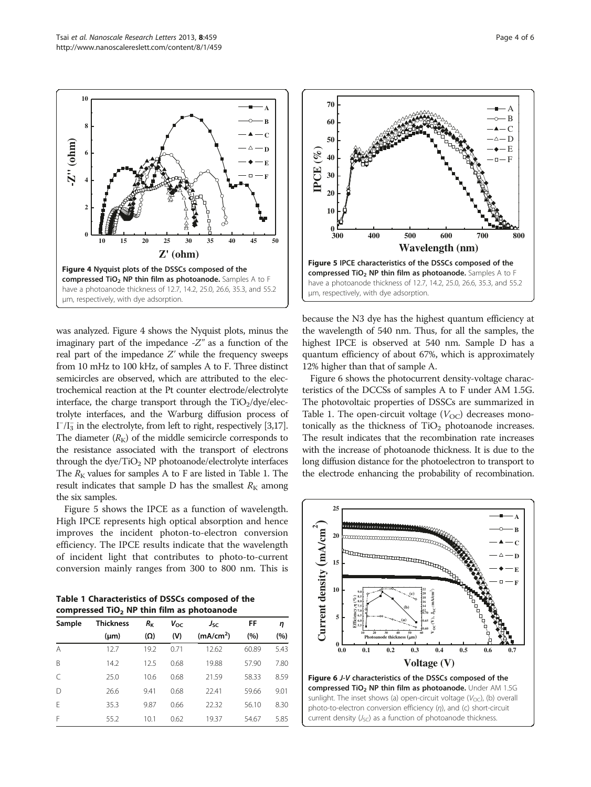**0**

**2**

**4**

**6**

**-Z'' (ohm)**

**8**

<span id="page-3-0"></span>**10**



**10 15 20 25 30 35 40 45 50**

**A B C D E F**

**Z' (ohm)**

Figure 4 Nyquist plots of the DSSCs composed of the compressed TiO<sub>2</sub> NP thin film as photoanode. Samples A to F have a photoanode thickness of 12.7, 14.2, 25.0, 26.6, 35.3, and 55.2

μm, respectively, with dye adsorption.

Figure 5 shows the IPCE as a function of wavelength. High IPCE represents high optical absorption and hence improves the incident photon-to-electron conversion efficiency. The IPCE results indicate that the wavelength of incident light that contributes to photo-to-current conversion mainly ranges from 300 to 800 nm. This is

Table 1 Characteristics of DSSCs composed of the compressed  $TiO<sub>2</sub>$  NP thin film as photoanode

| Sample | <b>Thickness</b> | $R_{\rm K}$ | $V_{OC}$ | $J_{SC}$              | FF    | η    |
|--------|------------------|-------------|----------|-----------------------|-------|------|
|        | $(\mu m)$        | (Ω)         | (V)      | (mA/cm <sup>2</sup> ) | (%)   | (%)  |
| A      | 12.7             | 19.2        | 0.71     | 12.62                 | 60.89 | 5.43 |
| B      | 14.2             | 12.5        | 0.68     | 19.88                 | 57.90 | 7.80 |
| C      | 25.0             | 10.6        | 0.68     | 21.59                 | 58.33 | 8.59 |
| $\Box$ | 26.6             | 9.41        | 0.68     | 22.41                 | 59.66 | 9.01 |
| Ε      | 35.3             | 9.87        | 0.66     | 22.32                 | 56.10 | 8.30 |
| F      | 55.2             | 10.1        | 0.62     | 19.37                 | 54.67 | 5.85 |



because the N3 dye has the highest quantum efficiency at the wavelength of 540 nm. Thus, for all the samples, the highest IPCE is observed at 540 nm. Sample D has a quantum efficiency of about 67%, which is approximately 12% higher than that of sample A.

Figure 6 shows the photocurrent density-voltage characteristics of the DCCSs of samples A to F under AM 1.5G. The photovoltaic properties of DSSCs are summarized in Table 1. The open-circuit voltage  $(V_{OC})$  decreases monotonically as the thickness of  $TiO<sub>2</sub>$  photoanode increases. The result indicates that the recombination rate increases with the increase of photoanode thickness. It is due to the long diffusion distance for the photoelectron to transport to the electrode enhancing the probability of recombination.



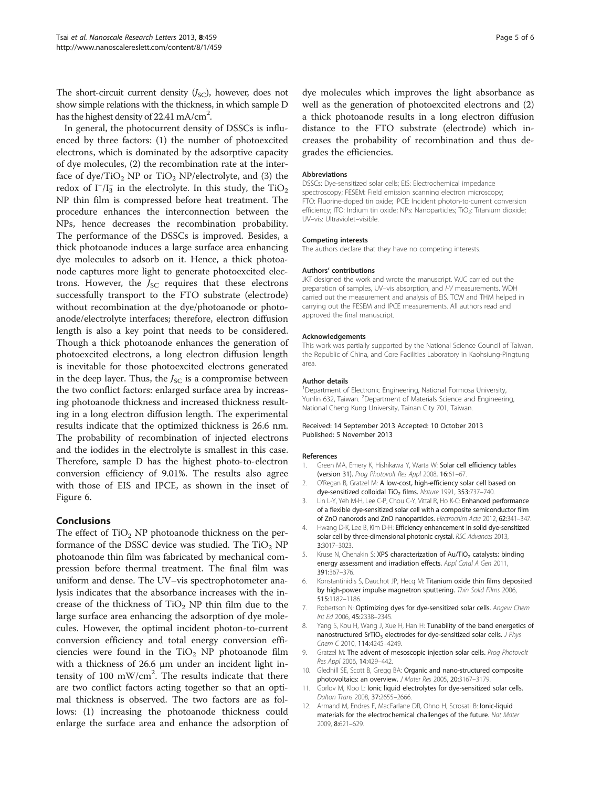<span id="page-4-0"></span>The short-circuit current density  $(J<sub>SC</sub>)$ , however, does not show simple relations with the thickness, in which sample D has the highest density of 22.41 mA/cm $^2$ .

In general, the photocurrent density of DSSCs is influenced by three factors: (1) the number of photoexcited electrons, which is dominated by the adsorptive capacity of dye molecules, (2) the recombination rate at the interface of dye/ $TiO<sub>2</sub> NP$  or  $TiO<sub>2</sub> NP/electrolyte$ , and (3) the redox of  $I^{-}/I_{3}^{-}$  in the electrolyte. In this study, the TiO<sub>2</sub> NP thin film is compressed before heat treatment. The procedure enhances the interconnection between the NPs, hence decreases the recombination probability. The performance of the DSSCs is improved. Besides, a thick photoanode induces a large surface area enhancing dye molecules to adsorb on it. Hence, a thick photoanode captures more light to generate photoexcited electrons. However, the  $J_{SC}$  requires that these electrons successfully transport to the FTO substrate (electrode) without recombination at the dye/photoanode or photoanode/electrolyte interfaces; therefore, electron diffusion length is also a key point that needs to be considered. Though a thick photoanode enhances the generation of photoexcited electrons, a long electron diffusion length is inevitable for those photoexcited electrons generated in the deep layer. Thus, the  $J_{SC}$  is a compromise between the two conflict factors: enlarged surface area by increasing photoanode thickness and increased thickness resulting in a long electron diffusion length. The experimental results indicate that the optimized thickness is 26.6 nm. The probability of recombination of injected electrons and the iodides in the electrolyte is smallest in this case. Therefore, sample D has the highest photo-to-electron conversion efficiency of 9.01%. The results also agree with those of EIS and IPCE, as shown in the inset of Figure [6](#page-3-0).

#### Conclusions

The effect of  $TiO<sub>2</sub>$  NP photoanode thickness on the performance of the DSSC device was studied. The  $TiO<sub>2</sub> NP$ photoanode thin film was fabricated by mechanical compression before thermal treatment. The final film was uniform and dense. The UV–vis spectrophotometer analysis indicates that the absorbance increases with the increase of the thickness of  $TiO<sub>2</sub>$  NP thin film due to the large surface area enhancing the adsorption of dye molecules. However, the optimal incident photon-to-current conversion efficiency and total energy conversion efficiencies were found in the  $TiO<sub>2</sub>$  NP photoanode film with a thickness of 26.6 μm under an incident light intensity of 100 mW/cm<sup>2</sup>. The results indicate that there are two conflict factors acting together so that an optimal thickness is observed. The two factors are as follows: (1) increasing the photoanode thickness could enlarge the surface area and enhance the adsorption of

dye molecules which improves the light absorbance as well as the generation of photoexcited electrons and (2) a thick photoanode results in a long electron diffusion distance to the FTO substrate (electrode) which increases the probability of recombination and thus degrades the efficiencies.

#### Abbreviations

DSSCs: Dye-sensitized solar cells; EIS: Electrochemical impedance spectroscopy; FESEM: Field emission scanning electron microscopy; FTO: Fluorine-doped tin oxide; IPCE: Incident photon-to-current conversion efficiency; ITO: Indium tin oxide; NPs: Nanoparticles; TiO<sub>2</sub>: Titanium dioxide; UV–vis: Ultraviolet–visible.

#### Competing interests

The authors declare that they have no competing interests.

#### Authors' contributions

JKT designed the work and wrote the manuscript. WJC carried out the preparation of samples, UV–vis absorption, and I-V measurements. WDH carried out the measurement and analysis of EIS. TCW and THM helped in carrying out the FESEM and IPCE measurements. All authors read and approved the final manuscript.

#### Acknowledgements

This work was partially supported by the National Science Council of Taiwan, the Republic of China, and Core Facilities Laboratory in Kaohsiung-Pingtung area.

#### Author details

<sup>1</sup>Department of Electronic Engineering, National Formosa University Yunlin 632, Taiwan. <sup>2</sup>Department of Materials Science and Engineering National Cheng Kung University, Tainan City 701, Taiwan.

#### Received: 14 September 2013 Accepted: 10 October 2013 Published: 5 November 2013

#### References

- 1. Green MA, Emery K, Hishikawa Y, Warta W: Solar cell efficiency tables (version 31). Prog Photovolt Res Appl 2008, 16:61–67.
- 2. O'Regan B, Gratzel M: A low-cost, high-efficiency solar cell based on dye-sensitized colloidal TiO<sub>2</sub> films. Nature 1991, 353:737-740.
- 3. Lin L-Y, Yeh M-H, Lee C-P, Chou C-Y, Vittal R, Ho K-C: Enhanced performance of a flexible dye-sensitized solar cell with a composite semiconductor film of ZnO nanorods and ZnO nanoparticles. Electrochim Acta 2012, 62:341–347.
- Hwang D-K, Lee B, Kim D-H: Efficiency enhancement in solid dye-sensitized solar cell by three-dimensional photonic crystal. RSC Advances 2013, 3:3017–3023.
- 5. Kruse N, Chenakin S: XPS characterization of  $Au/TiO<sub>2</sub>$  catalysts: binding energy assessment and irradiation effects. Appl Catal A Gen 2011, 391:367–376.
- Konstantinidis S, Dauchot JP, Hecq M: Titanium oxide thin films deposited by high-power impulse magnetron sputtering. Thin Solid Films 2006, 515:1182–1186.
- 7. Robertson N: Optimizing dyes for dye-sensitized solar cells. Angew Chem Int Ed 2006, 45:2338–2345.
- 8. Yang S, Kou H, Wang J, Xue H, Han H: Tunability of the band energetics of nanostructured SrTiO<sub>3</sub> electrodes for dye-sensitized solar cells. J Phys Chem C 2010, 114:4245–4249.
- 9. Gratzel M: The advent of mesoscopic injection solar cells. Prog Photovolt Res Appl 2006, 14:429–442.
- 10. Gledhill SE, Scott B, Gregg BA: Organic and nano-structured composite photovoltaics: an overview. J Mater Res 2005, 20:3167–3179.
- 11. Gorlov M, Kloo L: Ionic liquid electrolytes for dye-sensitized solar cells. Dalton Trans 2008, 37:2655–2666.
- 12. Armand M, Endres F, MacFarlane DR, Ohno H, Scrosati B: lonic-liquid materials for the electrochemical challenges of the future. Nat Mater 2009, 8:621–629.